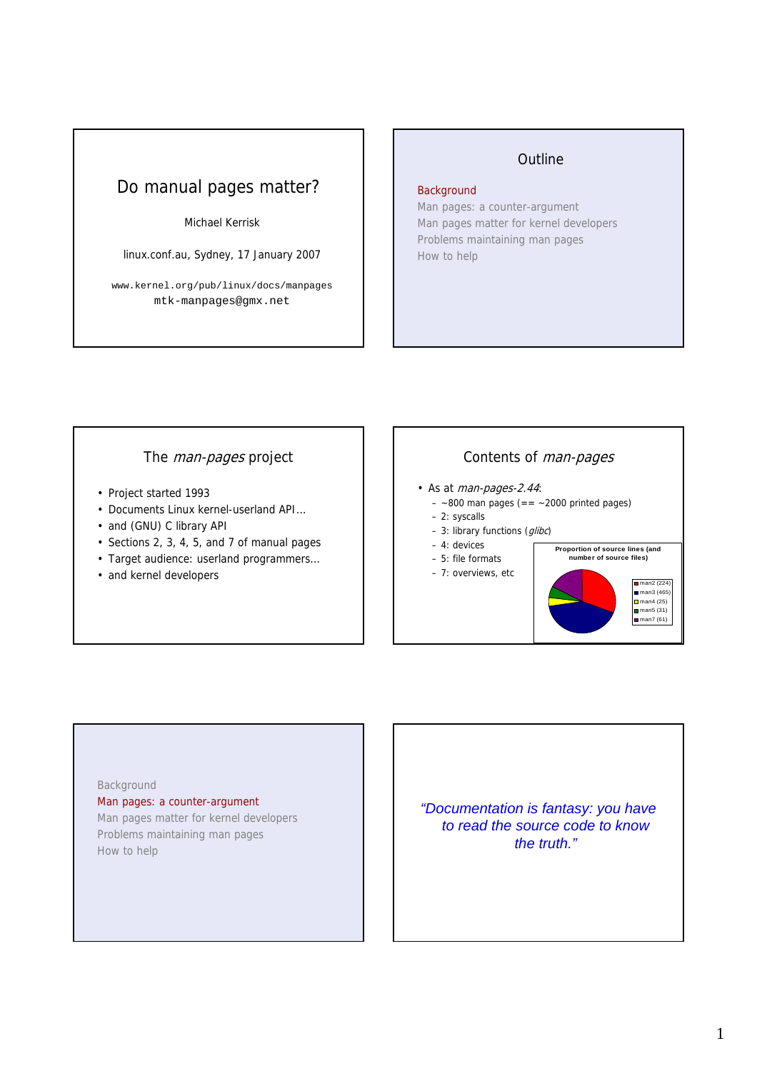# Do manual pages matter?

#### Michael Kerrisk

linux.conf.au, Sydney, 17 January 2007

www.kernel.org/pub/linux/docs/manpages mtk-manpages@gmx.net

## **Outline**

#### **Background**

Man pages: a counter-argument Man pages matter for kernel developers Problems maintaining man pages How to help

# The man-pages project

- Project started 1993
- Documents Linux kernel-userland API…
- and (GNU) C library API
- Sections 2, 3, 4, 5, and 7 of manual pages
- Target audience: userland programmers…
- and kernel developers

# Contents of man-pages

- As at man-pages-2.44:
	- $-$  ~800 man pages (== ~2000 printed pages)
	- 2: syscalls
	- $-3$ : library functions (*glibc*)
	- 4: devices
	- 5: file formats
	- 7: overviews, etc



#### Background

Man pages: a counter-argument Man pages matter for kernel developers

Problems maintaining man pages How to help

*"Documentation is fantasy: you have to read the source code to know the truth."*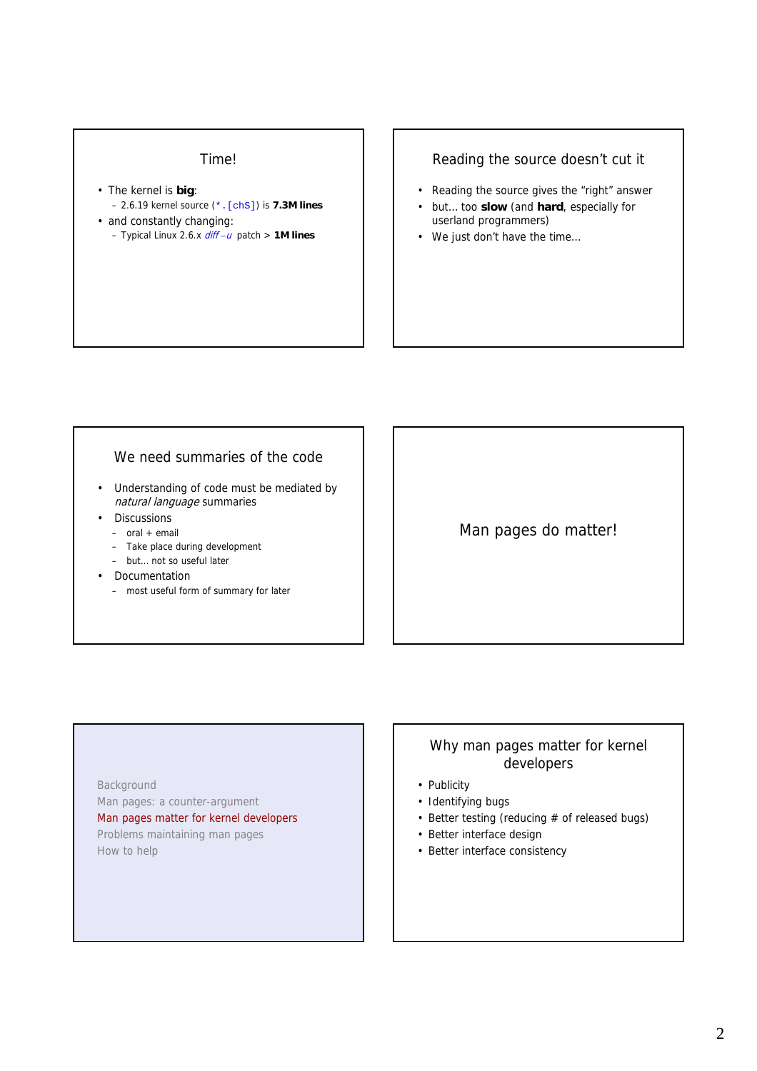#### Time!

- The kernel is **big**: – 2.6.19 kernel source (\*.[chS]) is **7.3M lines** • and constantly changing:
	- Typical Linux 2.6.x diff *–*<sup>u</sup> patch > **1M lines**

#### Reading the source doesn't cut it

- Reading the source gives the "right" answer
- but… too **slow** (and **hard**, especially for userland programmers)
- We just don't have the time…

#### We need summaries of the code

- Understanding of code must be mediated by natural language summaries
- Discussions
	- $-$  oral  $+$  email
	- Take place during development
	- but… not so useful later
- Documentation
	- most useful form of summary for later

# Man pages do matter!

# • Publicity

- Identifying bugs
- Better testing (reducing  $#$  of released bugs)

Why man pages matter for kernel developers

- Better interface design
- Better interface consistency

Background Man pages: a counter-argument Man pages matter for kernel developers Problems maintaining man pages How to help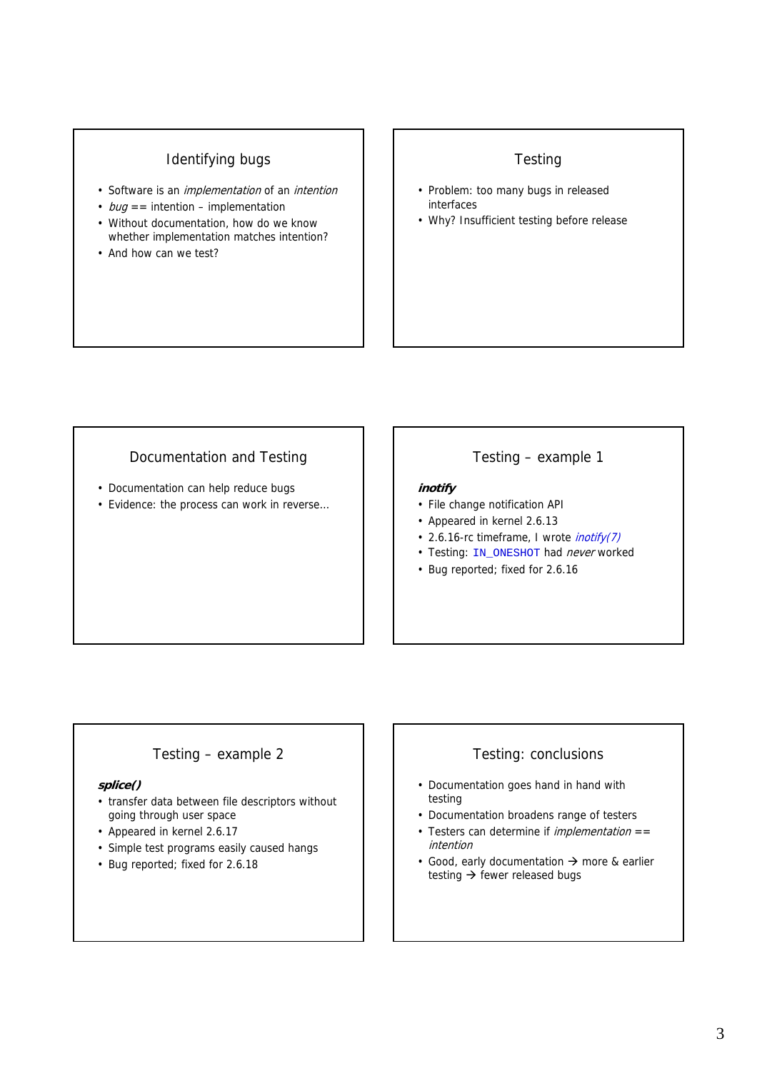# Identifying bugs

- Software is an *implementation* of an *intention*
- $bug ==$  intention implementation
- Without documentation, how do we know whether implementation matches intention?
- And how can we test?

# **Testing**

- Problem: too many bugs in released interfaces
- Why? Insufficient testing before release

# Documentation and Testing

- Documentation can help reduce bugs
- Evidence: the process can work in reverse…

#### Testing – example 1

#### **inotify**

- File change notification API
- Appeared in kernel 2.6.13
- 2.6.16-rc timeframe, I wrote *inotify(7)*
- Testing: IN\_ONESHOT had never worked
- Bug reported; fixed for 2.6.16

# Testing – example 2

#### **splice()**

- transfer data between file descriptors without going through user space
- Appeared in kernel 2.6.17
- Simple test programs easily caused hangs
- Bug reported; fixed for 2.6.18

# Testing: conclusions

- Documentation goes hand in hand with testing
- Documentation broadens range of testers
- Testers can determine if *implementation*  $==$ intention
- Good, early documentation  $\rightarrow$  more & earlier testing  $\rightarrow$  fewer released bugs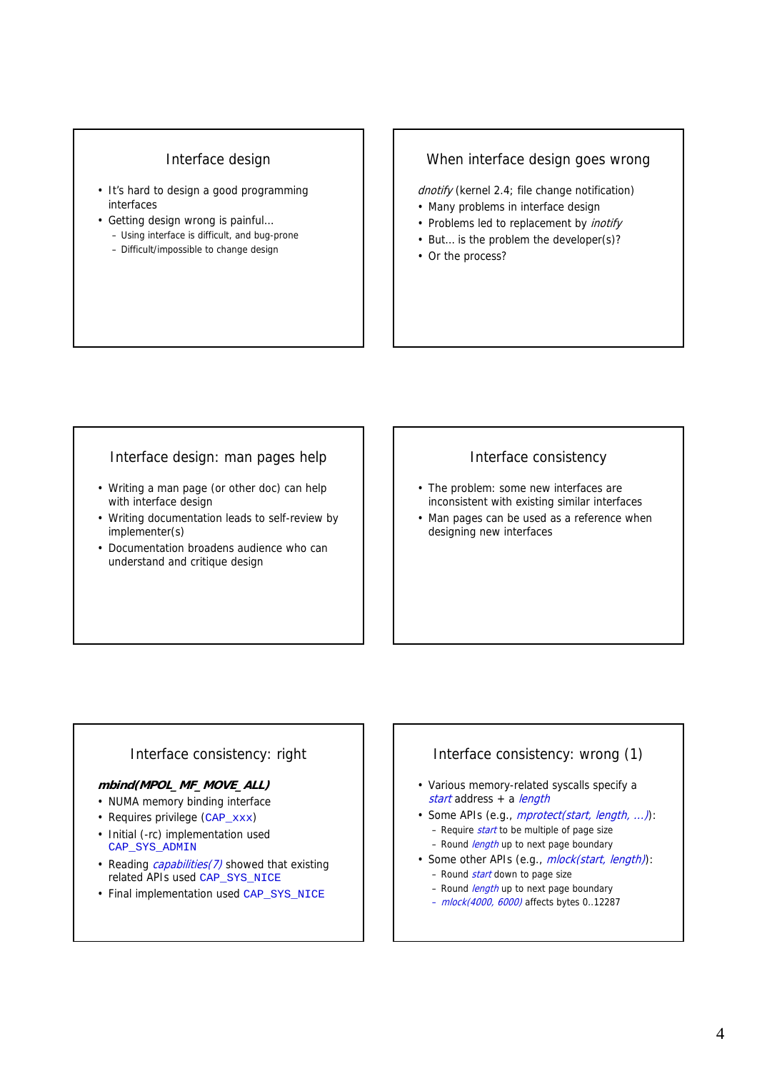#### Interface design

- It's hard to design a good programming interfaces
- Getting design wrong is painful… – Using interface is difficult, and bug-prone
	- Difficult/impossible to change design

#### When interface design goes wrong

dnotify (kernel 2.4; file change notification)

- Many problems in interface design
- Problems led to replacement by inotify
- But… is the problem the developer(s)?
- Or the process?

#### Interface design: man pages help

- Writing a man page (or other doc) can help with interface design
- Writing documentation leads to self-review by implementer(s)
- Documentation broadens audience who can understand and critique design

#### Interface consistency

- The problem: some new interfaces are inconsistent with existing similar interfaces
- Man pages can be used as a reference when designing new interfaces

# Interface consistency: right

#### **mbind(MPOL\_MF\_MOVE\_ALL)**

- NUMA memory binding interface
- Requires privilege (CAP\_xxx)
- Initial (-rc) implementation used CAP\_SYS\_ADMIN
- Reading *capabilities(7)* showed that existing related APIs used CAP\_SYS\_NICE
- Final implementation used CAP\_SYS\_NICE

# Interface consistency: wrong (1)

- Various memory-related syscalls specify a start address + a length
- Some APIs (e.g., *mprotect(start, length, ...)*):
	- Require  $start$  to be multiple of page size
	- Round *length* up to next page boundary
- Some other APIs (e.g., *mlock(start, length)*):
	- Round *start* down to page size
	- Round *length* up to next page boundary
	- mlock(4000, 6000) affects bytes 0..12287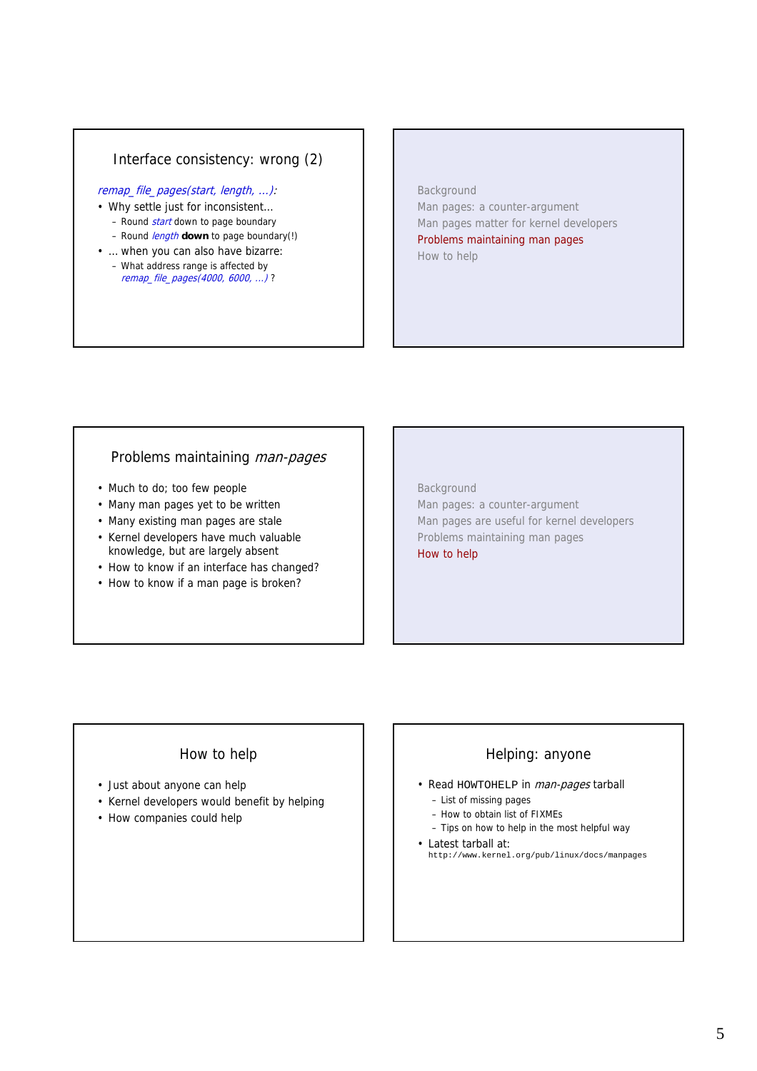# Interface consistency: wrong (2)

#### remap\_file\_pages(start, length, ...):

- Why settle just for inconsistent…
	- Round *start* down to page boundary
	- Round length **down** to page boundary(!)
- … when you can also have bizarre: – What address range is affected by remap\_file\_pages(4000, 6000, ...) ?

#### Background

Man pages: a counter-argument Man pages matter for kernel developers Problems maintaining man pages How to help

#### Problems maintaining man-pages

- Much to do; too few people
- Many man pages yet to be written
- Many existing man pages are stale
- Kernel developers have much valuable knowledge, but are largely absent
- How to know if an interface has changed?
- How to know if a man page is broken?

Background Man pages: a counter-argument Man pages are useful for kernel developers Problems maintaining man pages How to help

# How to help

- Just about anyone can help
- Kernel developers would benefit by helping
- How companies could help

# Helping: anyone

- Read HOWTOHELP in man-pages tarball – List of missing pages
	- How to obtain list of FIXMEs
	- Tips on how to help in the most helpful way
- Latest tarball at: http://www.kernel.org/pub/linux/docs/manpages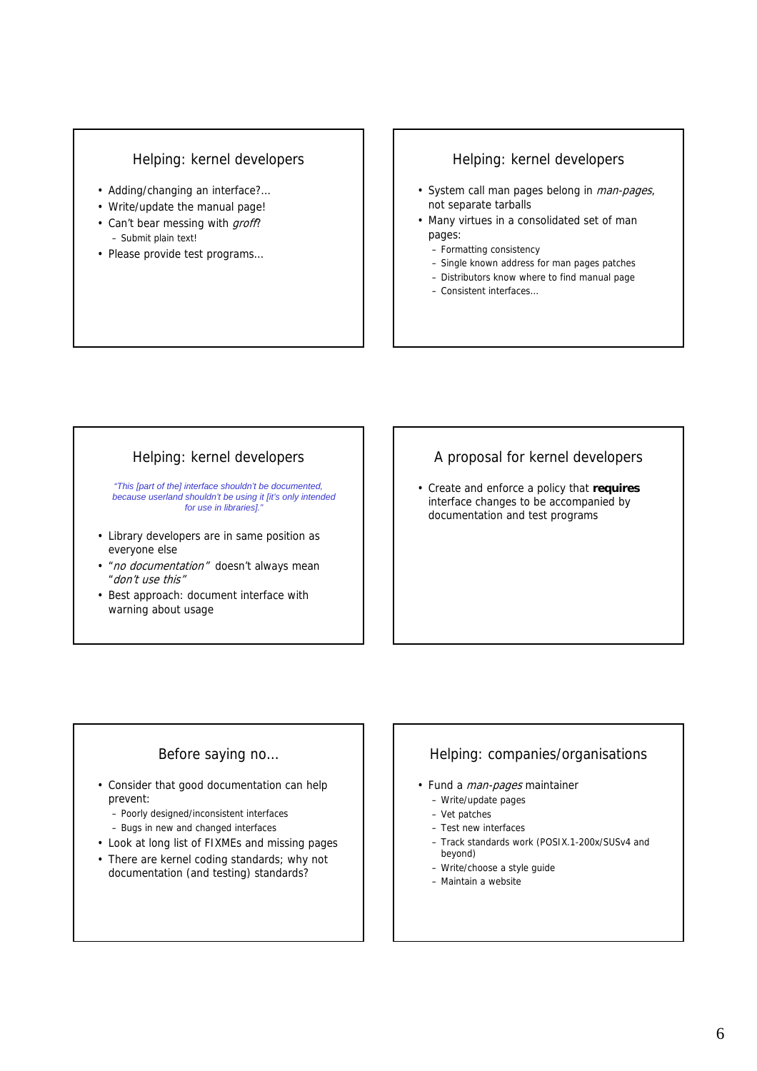#### Helping: kernel developers

- Adding/changing an interface?…
- Write/update the manual page!
- Can't bear messing with groff? – Submit plain text!
- Please provide test programs…

#### Helping: kernel developers

- System call man pages belong in *man-pages*, not separate tarballs
- Many virtues in a consolidated set of man pages:
	- Formatting consistency
	- Single known address for man pages patches
	- Distributors know where to find manual page
	- Consistent interfaces…

# Helping: kernel developers

*"This [part of the] interface shouldn't be documented, because userland shouldn't be using it [it's only intended for use in libraries]."*

- Library developers are in same position as everyone else
- *"no documentation"* doesn't always mean "don't use this"
- Best approach: document interface with warning about usage

# A proposal for kernel developers

• Create and enforce a policy that **requires** interface changes to be accompanied by documentation and test programs

# Before saying no…

- Consider that good documentation can help prevent:
	- Poorly designed/inconsistent interfaces
	- Bugs in new and changed interfaces
- Look at long list of FIXMEs and missing pages
- There are kernel coding standards; why not documentation (and testing) standards?

# Helping: companies/organisations

- Fund a *man-pages* maintainer
	- Write/update pages
	- Vet patches
	- Test new interfaces
	- Track standards work (POSIX.1-200x/SUSv4 and beyond)
	- Write/choose a style guide
	- Maintain a website